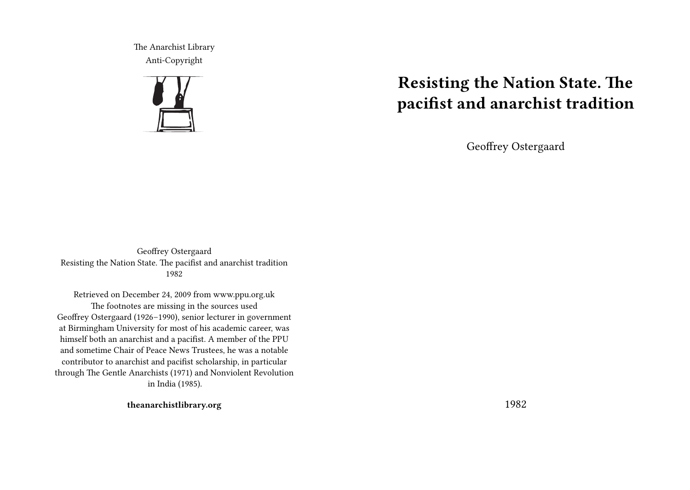The Anarchist Library Anti-Copyright



# **Resisting the Nation State. The pacifist and anarchist tradition**

Geoffrey Ostergaard

Geoffrey Ostergaard Resisting the Nation State. The pacifist and anarchist tradition 1982

Retrieved on December 24, 2009 from www.ppu.org.uk The footnotes are missing in the sources used Geoffrey Ostergaard (1926–1990), senior lecturer in government at Birmingham University for most of his academic career, was himself both an anarchist and a pacifist. A member of the PPU and sometime Chair of Peace News Trustees, he was a notable contributor to anarchist and pacifist scholarship, in particular through The Gentle Anarchists (1971) and Nonviolent Revolution in India (1985).

**theanarchistlibrary.org**

1982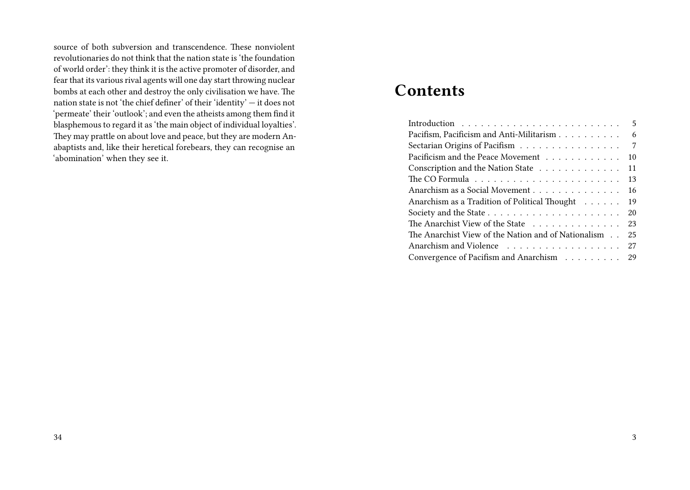source of both subversion and transcendence. These nonviolent revolutionaries do not think that the nation state is 'the foundation of world order': they think it is the active promoter of disorder, and fear that its various rival agents will one day start throwing nuclear bombs at each other and destroy the only civilisation we have. The nation state is not 'the chief definer' of their 'identity' — it does not 'permeate' their 'outlook'; and even the atheists among them find it blasphemous to regard it as 'the main object of individual loyalties'. They may prattle on about love and peace, but they are modern Anabaptists and, like their heretical forebears, they can recognise an 'abomination' when they see it.

# **Contents**

|                                                     | 5  |
|-----------------------------------------------------|----|
| Pacifism, Pacificism and Anti-Militarism            | 6  |
| Sectarian Origins of Pacifism                       | 7  |
| Pacificism and the Peace Movement                   | 10 |
| Conscription and the Nation State                   | 11 |
|                                                     | 13 |
| Anarchism as a Social Movement                      | 16 |
| Anarchism as a Tradition of Political Thought       | 19 |
|                                                     | 20 |
| The Anarchist View of the State                     | 23 |
| The Anarchist View of the Nation and of Nationalism | 25 |
|                                                     | 27 |
| Convergence of Pacifism and Anarchism               | 29 |
|                                                     |    |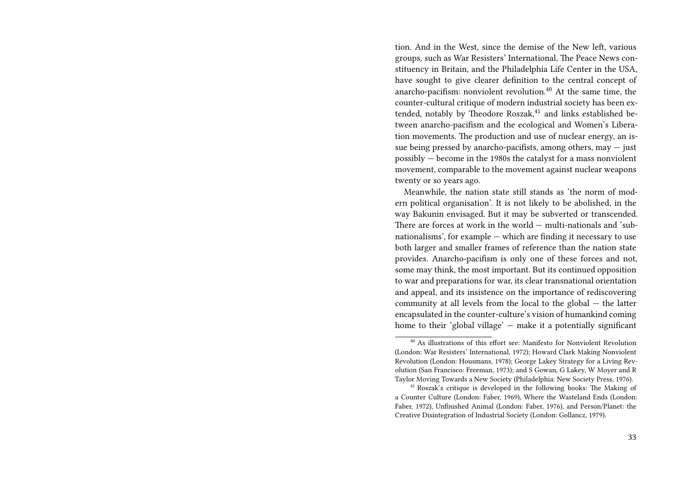tion. And in the West, since the demise of the New left, various groups, such as War Resisters' International, The Peace News constituency in Britain, and the Philadelphia Life Center in the USA, have sought to give clearer definition to the central concept of anarcho-pacifism: nonviolent revolution.<sup>40</sup> At the same time, the counter-cultural critique of modern industrial society has been extended, notably by Theodore Roszak,<sup>41</sup> and links established between anarcho-pacifism and the ecological and Women's Liberation movements. The production and use of nuclear energy, an issue being pressed by anarcho-pacifists, among others, may  $-$  just possibly — become in the 1980s the catalyst for a mass nonviolent movement, comparable to the movement against nuclear weapons twenty or so years ago.

Meanwhile, the nation state still stands as 'the norm of modern political organisation'. It is not likely to be abolished, in the way Bakunin envisaged. But it may be subverted or transcended. There are forces at work in the world — multi-nationals and 'subnationalisms', for example — which are finding it necessary to use both larger and smaller frames of reference than the nation state provides. Anarcho-pacifism is only one of these forces and not, some may think, the most important. But its continued opposition to war and preparations for war, its clear transnational orientation and appeal, and its insistence on the importance of rediscovering community at all levels from the local to the global — the latter encapsulated in the counter-culture's vision of humankind coming home to their 'global village' — make it a potentially significant

<sup>40</sup> As illustrations of this effort see: Manifesto for Nonviolent Revolution (London: War Resisters' International, 1972); Howard Clark Making Nonviolent Revolution (London: Housmans, 1978); George Lakey Strategy for a Living Revolution (San Francisco: Freeman, 1973); and S Gowan, G Lakey, W Moyer and R Taylor Moving Towards a New Society (Philadelphia: New Society Press, 1976).

<sup>41</sup> Roszak's critique is developed in the following books: The Making of a Counter Culture (London: Faber, 1969), Where the Wasteland Ends (London: Faber, 1972), Unfinished Animal (London: Faber, 1976), and Person/Planet: the Creative Disintegration of Industrial Society (London: Gollancz, 1979).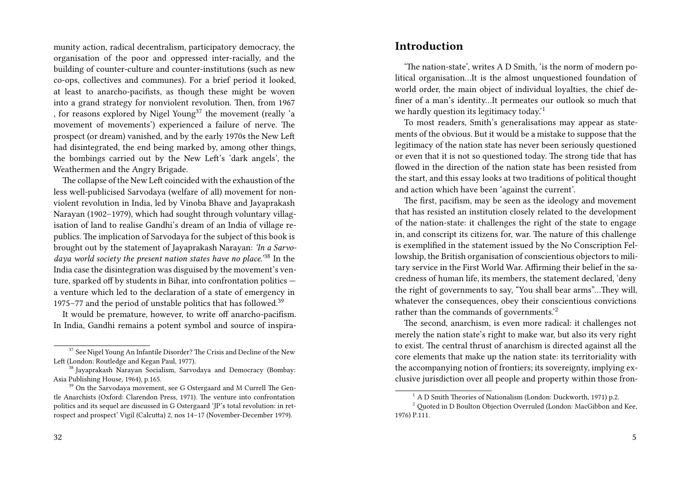munity action, radical decentralism, participatory democracy, the organisation of the poor and oppressed inter-racially, and the building of counter-culture and counter-institutions (such as new co-ops, collectives and communes). For a brief period it looked, at least to anarcho-pacifists, as though these might be woven into a grand strategy for nonviolent revolution. Then, from 1967 , for reasons explored by Nigel Young<sup>37</sup> the movement (really 'a movement of movements') experienced a failure of nerve. The prospect (or dream) vanished, and by the early 1970s the New Left had disintegrated, the end being marked by, among other things, the bombings carried out by the New Left's 'dark angels', the Weathermen and the Angry Brigade.

The collapse of the New Left coincided with the exhaustion of the less well-publicised Sarvodaya (welfare of all) movement for nonviolent revolution in India, led by Vinoba Bhave and Jayaprakash Narayan (1902–1979), which had sought through voluntary villagisation of land to realise Gandhi's dream of an India of village republics. The implication of Sarvodaya for the subject of this book is brought out by the statement of Jayaprakash Narayan: *'In a Sarvodaya world society the present nation states have no place.'*<sup>38</sup> In the India case the disintegration was disguised by the movement's venture, sparked off by students in Bihar, into confrontation politics a venture which led to the declaration of a state of emergency in 1975–77 and the period of unstable politics that has followed.<sup>39</sup>

It would be premature, however, to write off anarcho-pacifism. In India, Gandhi remains a potent symbol and source of inspira-

#### **Introduction**

'The nation-state', writes A D Smith, 'is the norm of modern political organisation…It is the almost unquestioned foundation of world order, the main object of individual loyalties, the chief definer of a man's identity…It permeates our outlook so much that we hardly question its legitimacy today.'<sup>1</sup>

To most readers, Smith's generalisations may appear as statements of the obvious. But it would be a mistake to suppose that the legitimacy of the nation state has never been seriously questioned or even that it is not so questioned today. The strong tide that has flowed in the direction of the nation state has been resisted from the start, and this essay looks at two traditions of political thought and action which have been 'against the current'.

The first, pacifism, may be seen as the ideology and movement that has resisted an institution closely related to the development of the nation-state: it challenges the right of the state to engage in, and conscript its citizens for, war. The nature of this challenge is exemplified in the statement issued by the No Conscription Fellowship, the British organisation of conscientious objectors to military service in the First World War. Affirming their belief in the sacredness of human life, its members, the statement declared, 'deny the right of governments to say, "You shall bear arms"…They will, whatever the consequences, obey their conscientious convictions rather than the commands of governments.'<sup>2</sup>

The second, anarchism, is even more radical: it challenges not merely the nation state's right to make war, but also its very right to exist. The central thrust of anarchism is directed against all the core elements that make up the nation state: its territoriality with the accompanying notion of frontiers; its sovereignty, implying exclusive jurisdiction over all people and property within those fron-

 $37$  See Nigel Young An Infantile Disorder? The Crisis and Decline of the New Left (London: Routledge and Kegan Paul, 1977).

<sup>38</sup> Jayaprakash Narayan Socialism, Sarvodaya and Democracy (Bombay: Asia Publishing House, 1964), p.165.

<sup>&</sup>lt;sup>39</sup> On the Sarvodaya movement, see G Ostergaard and M Currell The Gentle Anarchists (Oxford: Clarendon Press, 1971). The venture into confrontation politics and its sequel are discussed in G Ostergaard 'JP's total revolution: in retrospect and prospect' Vigil (Calcutta) 2, nos 14–17 (November-December 1979).

<sup>1</sup> A D Smith Theories of Nationalism (London: Duckworth, 1971) p.2.

<sup>&</sup>lt;sup>2</sup> Quoted in D Boulton Objection Overruled (London: MacGibbon and Kee, 1976) P.111.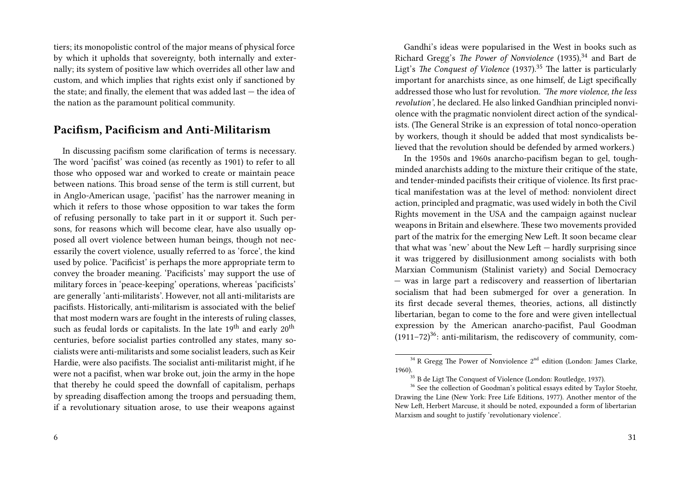tiers; its monopolistic control of the major means of physical force by which it upholds that sovereignty, both internally and externally; its system of positive law which overrides all other law and custom, and which implies that rights exist only if sanctioned by the state; and finally, the element that was added last — the idea of the nation as the paramount political community.

### **Pacifism, Pacificism and Anti-Militarism**

In discussing pacifism some clarification of terms is necessary. The word 'pacifist' was coined (as recently as 1901) to refer to all those who opposed war and worked to create or maintain peace between nations. This broad sense of the term is still current, but in Anglo-American usage, 'pacifist' has the narrower meaning in which it refers to those whose opposition to war takes the form of refusing personally to take part in it or support it. Such persons, for reasons which will become clear, have also usually opposed all overt violence between human beings, though not necessarily the covert violence, usually referred to as 'force', the kind used by police. 'Pacificist' is perhaps the more appropriate term to convey the broader meaning. 'Pacificists' may support the use of military forces in 'peace-keeping' operations, whereas 'pacificists' are generally 'anti-militarists'. However, not all anti-militarists are pacifists. Historically, anti-militarism is associated with the belief that most modern wars are fought in the interests of ruling classes, such as feudal lords or capitalists. In the late  $19<sup>th</sup>$  and early  $20<sup>th</sup>$ centuries, before socialist parties controlled any states, many socialists were anti-militarists and some socialist leaders, such as Keir Hardie, were also pacifists. The socialist anti-militarist might, if he were not a pacifist, when war broke out, join the army in the hope that thereby he could speed the downfall of capitalism, perhaps by spreading disaffection among the troops and persuading them, if a revolutionary situation arose, to use their weapons against

Gandhi's ideas were popularised in the West in books such as Richard Gregg's *The Power of Nonviolence* (1935),<sup>34</sup> and Bart de Ligt's *The Conquest of Violence* (1937).<sup>35</sup> The latter is particularly important for anarchists since, as one himself, de Ligt specifically addressed those who lust for revolution. *'The more violence, the less revolution'*, he declared. He also linked Gandhian principled nonviolence with the pragmatic nonviolent direct action of the syndicalists. (The General Strike is an expression of total nonco-operation by workers, though it should be added that most syndicalists believed that the revolution should be defended by armed workers.)

In the 1950s and 1960s anarcho-pacifism began to gel, toughminded anarchists adding to the mixture their critique of the state, and tender-minded pacifists their critique of violence. Its first practical manifestation was at the level of method: nonviolent direct action, principled and pragmatic, was used widely in both the Civil Rights movement in the USA and the campaign against nuclear weapons in Britain and elsewhere. These two movements provided part of the matrix for the emerging New Left. It soon became clear that what was 'new' about the New Left — hardly surprising since it was triggered by disillusionment among socialists with both Marxian Communism (Stalinist variety) and Social Democracy — was in large part a rediscovery and reassertion of libertarian socialism that had been submerged for over a generation. In its first decade several themes, theories, actions, all distinctly libertarian, began to come to the fore and were given intellectual expression by the American anarcho-pacifist, Paul Goodman  $(1911-72)^{36}$ : anti-militarism, the rediscovery of community, com-

 $34$  R Gregg The Power of Nonviolence  $2<sup>nd</sup>$  edition (London: James Clarke, 1960).

 $^{35}$  B de Ligt The Conquest of Violence (London: Routledge, 1937).

<sup>&</sup>lt;sup>36</sup> See the collection of Goodman's political essays edited by Taylor Stoehr, Drawing the Line (New York: Free Life Editions, 1977). Another mentor of the New Left, Herbert Marcuse, it should be noted, expounded a form of libertarian Marxism and sought to justify 'revolutionary violence'.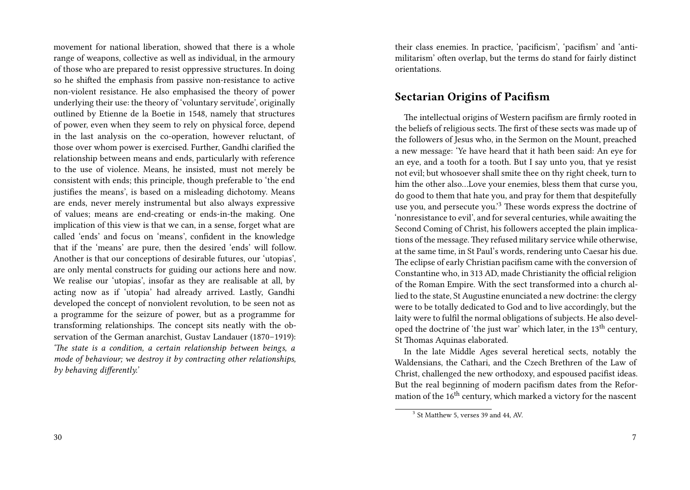movement for national liberation, showed that there is a whole range of weapons, collective as well as individual, in the armoury of those who are prepared to resist oppressive structures. In doing so he shifted the emphasis from passive non-resistance to active non-violent resistance. He also emphasised the theory of power underlying their use: the theory of 'voluntary servitude', originally outlined by Etienne de la Boetie in 1548, namely that structures of power, even when they seem to rely on physical force, depend in the last analysis on the co-operation, however reluctant, of those over whom power is exercised. Further, Gandhi clarified the relationship between means and ends, particularly with reference to the use of violence. Means, he insisted, must not merely be consistent with ends; this principle, though preferable to 'the end justifies the means', is based on a misleading dichotomy. Means are ends, never merely instrumental but also always expressive of values; means are end-creating or ends-in-the making. One implication of this view is that we can, in a sense, forget what are called 'ends' and focus on 'means', confident in the knowledge that if the 'means' are pure, then the desired 'ends' will follow. Another is that our conceptions of desirable futures, our 'utopias', are only mental constructs for guiding our actions here and now. We realise our 'utopias', insofar as they are realisable at all, by acting now as if 'utopia' had already arrived. Lastly, Gandhi developed the concept of nonviolent revolution, to be seen not as a programme for the seizure of power, but as a programme for transforming relationships. The concept sits neatly with the observation of the German anarchist, Gustav Landauer (1870–1919): *'The state is a condition, a certain relationship between beings, a mode of behaviour; we destroy it by contracting other relationships, by behaving differently.'*

their class enemies. In practice, 'pacificism', 'pacifism' and 'antimilitarism' often overlap, but the terms do stand for fairly distinct orientations.

#### **Sectarian Origins of Pacifism**

The intellectual origins of Western pacifism are firmly rooted in the beliefs of religious sects. The first of these sects was made up of the followers of Jesus who, in the Sermon on the Mount, preached a new message: 'Ye have heard that it hath been said: An eye for an eye, and a tooth for a tooth. But I say unto you, that ye resist not evil; but whosoever shall smite thee on thy right cheek, turn to him the other also…Love your enemies, bless them that curse you, do good to them that hate you, and pray for them that despitefully use you, and persecute you.'<sup>3</sup> These words express the doctrine of 'nonresistance to evil', and for several centuries, while awaiting the Second Coming of Christ, his followers accepted the plain implications of the message.They refused military service while otherwise, at the same time, in St Paul's words, rendering unto Caesar his due. The eclipse of early Christian pacifism came with the conversion of Constantine who, in 313 AD, made Christianity the official religion of the Roman Empire. With the sect transformed into a church allied to the state, St Augustine enunciated a new doctrine: the clergy were to be totally dedicated to God and to live accordingly, but the laity were to fulfil the normal obligations of subjects. He also developed the doctrine of 'the just war' which later, in the  $13<sup>th</sup>$  century, St Thomas Aquinas elaborated.

In the late Middle Ages several heretical sects, notably the Waldensians, the Cathari, and the Czech Brethren of the Law of Christ, challenged the new orthodoxy, and espoused pacifist ideas. But the real beginning of modern pacifism dates from the Reformation of the  $16^{\text{th}}$  century, which marked a victory for the nascent

<sup>&</sup>lt;sup>3</sup> St Matthew 5, verses 39 and 44, AV.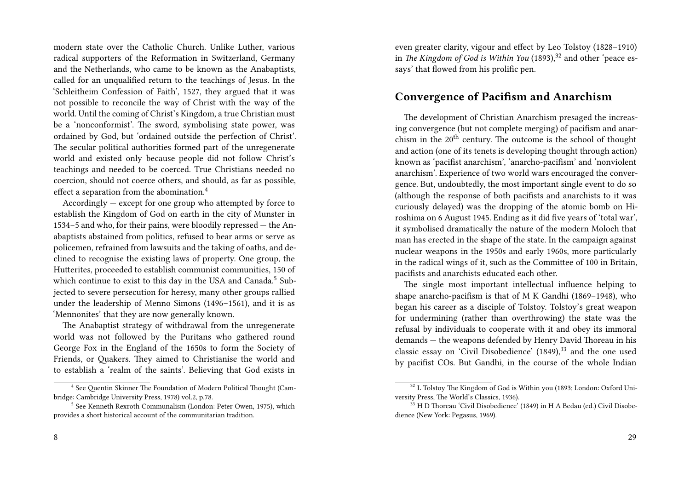modern state over the Catholic Church. Unlike Luther, various radical supporters of the Reformation in Switzerland, Germany and the Netherlands, who came to be known as the Anabaptists, called for an unqualified return to the teachings of Jesus. In the 'Schleitheim Confession of Faith', 1527, they argued that it was not possible to reconcile the way of Christ with the way of the world. Until the coming of Christ's Kingdom, a true Christian must be a 'nonconformist'. The sword, symbolising state power, was ordained by God, but 'ordained outside the perfection of Christ'. The secular political authorities formed part of the unregenerate world and existed only because people did not follow Christ's teachings and needed to be coerced. True Christians needed no coercion, should not coerce others, and should, as far as possible, effect a separation from the abomination.<sup>4</sup>

Accordingly — except for one group who attempted by force to establish the Kingdom of God on earth in the city of Munster in 1534–5 and who, for their pains, were bloodily repressed — the Anabaptists abstained from politics, refused to bear arms or serve as policemen, refrained from lawsuits and the taking of oaths, and declined to recognise the existing laws of property. One group, the Hutterites, proceeded to establish communist communities, 150 of which continue to exist to this day in the USA and Canada.<sup>5</sup> Subjected to severe persecution for heresy, many other groups rallied under the leadership of Menno Simons (1496–1561), and it is as 'Mennonites' that they are now generally known.

The Anabaptist strategy of withdrawal from the unregenerate world was not followed by the Puritans who gathered round George Fox in the England of the 1650s to form the Society of Friends, or Quakers. They aimed to Christianise the world and to establish a 'realm of the saints'. Believing that God exists in

even greater clarity, vigour and effect by Leo Tolstoy (1828–1910) in *The Kingdom of God is Within You* (1893),<sup>32</sup> and other 'peace essays' that flowed from his prolific pen.

#### **Convergence of Pacifism and Anarchism**

The development of Christian Anarchism presaged the increasing convergence (but not complete merging) of pacifism and anarchism in the  $20<sup>th</sup>$  century. The outcome is the school of thought and action (one of its tenets is developing thought through action) known as 'pacifist anarchism', 'anarcho-pacifism' and 'nonviolent anarchism'. Experience of two world wars encouraged the convergence. But, undoubtedly, the most important single event to do so (although the response of both pacifists and anarchists to it was curiously delayed) was the dropping of the atomic bomb on Hiroshima on 6 August 1945. Ending as it did five years of 'total war', it symbolised dramatically the nature of the modern Moloch that man has erected in the shape of the state. In the campaign against nuclear weapons in the 1950s and early 1960s, more particularly in the radical wings of it, such as the Committee of 100 in Britain, pacifists and anarchists educated each other.

The single most important intellectual influence helping to shape anarcho-pacifism is that of M K Gandhi (1869–1948), who began his career as a disciple of Tolstoy. Tolstoy's great weapon for undermining (rather than overthrowing) the state was the refusal by individuals to cooperate with it and obey its immoral demands — the weapons defended by Henry David Thoreau in his classic essay on 'Civil Disobedience' (1849),<sup>33</sup> and the one used by pacifist COs. But Gandhi, in the course of the whole Indian

<sup>&</sup>lt;sup>4</sup> See Quentin Skinner The Foundation of Modern Political Thought (Cambridge: Cambridge University Press, 1978) vol.2, p.78.

<sup>5</sup> See Kenneth Rexroth Communalism (London: Peter Owen, 1975), which provides a short historical account of the communitarian tradition.

<sup>&</sup>lt;sup>32</sup> L Tolstoy The Kingdom of God is Within you (1893; London: Oxford University Press, The World's Classics, 1936).

<sup>&</sup>lt;sup>33</sup> H D Thoreau 'Civil Disobedience' (1849) in H A Bedau (ed.) Civil Disobedience (New York: Pegasus, 1969).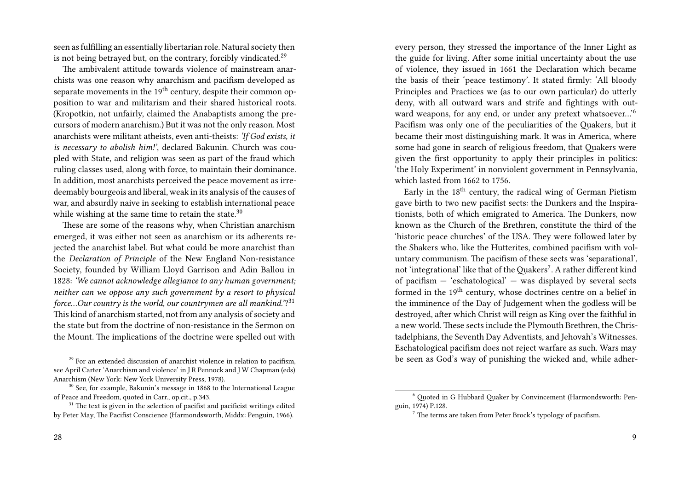seen as fulfilling an essentially libertarian role. Natural society then is not being betrayed but, on the contrary, forcibly vindicated.<sup>29</sup>

The ambivalent attitude towards violence of mainstream anarchists was one reason why anarchism and pacifism developed as separate movements in the  $19<sup>th</sup>$  century, despite their common opposition to war and militarism and their shared historical roots. (Kropotkin, not unfairly, claimed the Anabaptists among the precursors of modern anarchism.) But it was not the only reason. Most anarchists were militant atheists, even anti-theists: *'If God exists, it is necessary to abolish him!'*, declared Bakunin. Church was coupled with State, and religion was seen as part of the fraud which ruling classes used, along with force, to maintain their dominance. In addition, most anarchists perceived the peace movement as irredeemably bourgeois and liberal, weak in its analysis of the causes of war, and absurdly naive in seeking to establish international peace while wishing at the same time to retain the state.<sup>30</sup>

These are some of the reasons why, when Christian anarchism emerged, it was either not seen as anarchism or its adherents rejected the anarchist label. But what could be more anarchist than the *Declaration of Principle* of the New England Non-resistance Society, founded by William Lloyd Garrison and Adin Ballou in 1828: *'We cannot acknowledge allegiance to any human government; neither can we oppose any such government by a resort to physical force…Our country is the world, our countrymen are all mankind.'*? 31 This kind of anarchism started, not from any analysis of society and the state but from the doctrine of non-resistance in the Sermon on the Mount. The implications of the doctrine were spelled out with

every person, they stressed the importance of the Inner Light as the guide for living. After some initial uncertainty about the use of violence, they issued in 1661 the Declaration which became the basis of their 'peace testimony'. It stated firmly: 'All bloody Principles and Practices we (as to our own particular) do utterly deny, with all outward wars and strife and fightings with outward weapons, for any end, or under any pretext whatsoever…'<sup>6</sup> Pacifism was only one of the peculiarities of the Quakers, but it became their most distinguishing mark. It was in America, where some had gone in search of religious freedom, that Quakers were given the first opportunity to apply their principles in politics: 'the Holy Experiment' in nonviolent government in Pennsylvania, which lasted from 1662 to 1756.

Early in the 18th century, the radical wing of German Pietism gave birth to two new pacifist sects: the Dunkers and the Inspirationists, both of which emigrated to America. The Dunkers, now known as the Church of the Brethren, constitute the third of the 'historic peace churches' of the USA. They were followed later by the Shakers who, like the Hutterites, combined pacifism with voluntary communism. The pacifism of these sects was 'separational', not 'integrational' like that of the Quakers<sup>7</sup>. A rather different kind of pacifism — 'eschatological' — was displayed by several sects formed in the 19<sup>th</sup> century, whose doctrines centre on a belief in the imminence of the Day of Judgement when the godless will be destroyed, after which Christ will reign as King over the faithful in a new world. These sects include the Plymouth Brethren, the Christadelphians, the Seventh Day Adventists, and Jehovah's Witnesses. Eschatological pacifism does not reject warfare as such. Wars may be seen as God's way of punishing the wicked and, while adher-

 $29$  For an extended discussion of anarchist violence in relation to pacifism, see April Carter 'Anarchism and violence' in J R Pennock and J W Chapman (eds) Anarchism (New York: New York University Press, 1978).

 $30$  See, for example, Bakunin's message in 1868 to the International League of Peace and Freedom, quoted in Carr., op.cit., p.343.

 $31$  The text is given in the selection of pacifist and pacificist writings edited by Peter May, The Pacifist Conscience (Harmondsworth, Middx: Penguin, 1966).

<sup>6</sup> Quoted in G Hubbard Quaker by Convincement (Harmondsworth: Penguin, 1974) P.128.

 $<sup>7</sup>$  The terms are taken from Peter Brock's typology of pacifism.</sup>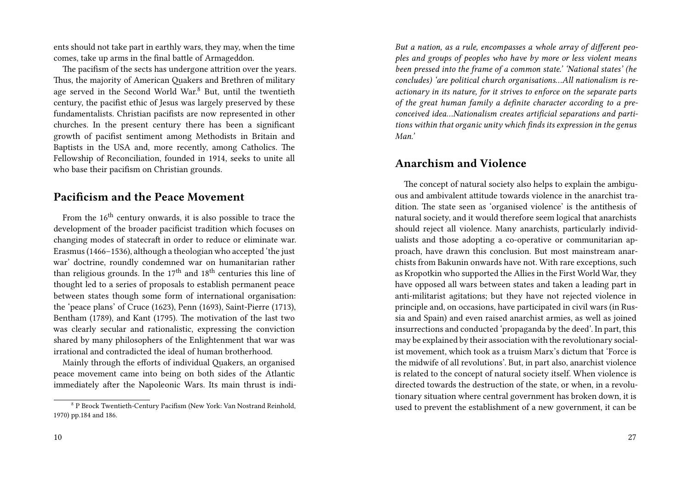ents should not take part in earthly wars, they may, when the time comes, take up arms in the final battle of Armageddon.

The pacifism of the sects has undergone attrition over the years. Thus, the majority of American Quakers and Brethren of military age served in the Second World War.<sup>8</sup> But, until the twentieth century, the pacifist ethic of Jesus was largely preserved by these fundamentalists. Christian pacifists are now represented in other churches. In the present century there has been a significant growth of pacifist sentiment among Methodists in Britain and Baptists in the USA and, more recently, among Catholics. The Fellowship of Reconciliation, founded in 1914, seeks to unite all who base their pacifism on Christian grounds.

#### **Pacificism and the Peace Movement**

From the  $16<sup>th</sup>$  century onwards, it is also possible to trace the development of the broader pacificist tradition which focuses on changing modes of statecraft in order to reduce or eliminate war. Erasmus (1466–1536), although a theologian who accepted 'the just war' doctrine, roundly condemned war on humanitarian rather than religious grounds. In the  $17<sup>th</sup>$  and  $18<sup>th</sup>$  centuries this line of thought led to a series of proposals to establish permanent peace between states though some form of international organisation: the 'peace plans' of Cruce (1623), Penn (1693), Saint-Pierre (1713), Bentham (1789), and Kant (1795). The motivation of the last two was clearly secular and rationalistic, expressing the conviction shared by many philosophers of the Enlightenment that war was irrational and contradicted the ideal of human brotherhood.

Mainly through the efforts of individual Quakers, an organised peace movement came into being on both sides of the Atlantic immediately after the Napoleonic Wars. Its main thrust is indi-

*But a nation, as a rule, encompasses a whole array of different peoples and groups of peoples who have by more or less violent means been pressed into the frame of a common state.' 'National states' (he concludes) 'are political church organisations…All nationalism is reactionary in its nature, for it strives to enforce on the separate parts of the great human family a definite character according to a preconceived idea…Nationalism creates artificial separations and partitions within that organic unity which finds its expression in the genus Man.'*

#### **Anarchism and Violence**

The concept of natural society also helps to explain the ambiguous and ambivalent attitude towards violence in the anarchist tradition. The state seen as 'organised violence' is the antithesis of natural society, and it would therefore seem logical that anarchists should reject all violence. Many anarchists, particularly individualists and those adopting a co-operative or communitarian approach, have drawn this conclusion. But most mainstream anarchists from Bakunin onwards have not. With rare exceptions, such as Kropotkin who supported the Allies in the First World War, they have opposed all wars between states and taken a leading part in anti-militarist agitations; but they have not rejected violence in principle and, on occasions, have participated in civil wars (in Russia and Spain) and even raised anarchist armies, as well as joined insurrections and conducted 'propaganda by the deed'. In part, this may be explained by their association with the revolutionary socialist movement, which took as a truism Marx's dictum that 'Force is the midwife of all revolutions'. But, in part also, anarchist violence is related to the concept of natural society itself. When violence is directed towards the destruction of the state, or when, in a revolutionary situation where central government has broken down, it is used to prevent the establishment of a new government, it can be

<sup>&</sup>lt;sup>8</sup> P Brock Twentieth-Century Pacifism (New York: Van Nostrand Reinhold, 1970) pp.184 and 186.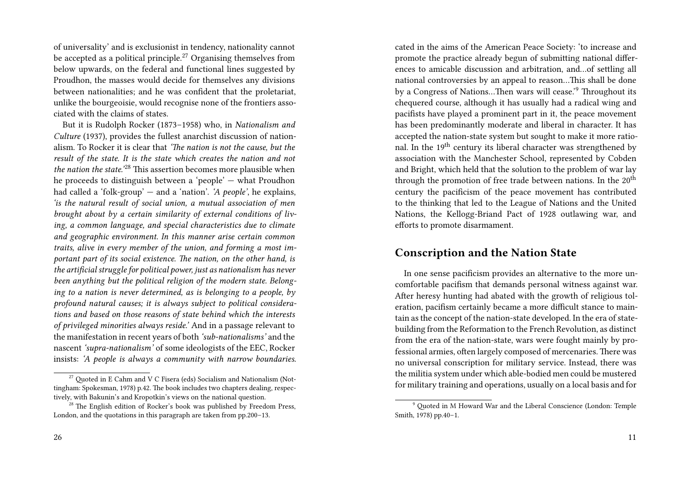of universality' and is exclusionist in tendency, nationality cannot be accepted as a political principle.<sup>27</sup> Organising themselves from below upwards, on the federal and functional lines suggested by Proudhon, the masses would decide for themselves any divisions between nationalities; and he was confident that the proletariat, unlike the bourgeoisie, would recognise none of the frontiers associated with the claims of states.

But it is Rudolph Rocker (1873–1958) who, in *Nationalism and Culture* (1937), provides the fullest anarchist discussion of nationalism. To Rocker it is clear that *'The nation is not the cause, but the result of the state. It is the state which creates the nation and not the nation the state.'*<sup>28</sup> This assertion becomes more plausible when he proceeds to distinguish between a 'people' — what Proudhon had called a 'folk-group' — and a 'nation'. *'A people'*, he explains, *'is the natural result of social union, a mutual association of men brought about by a certain similarity of external conditions of living, a common language, and special characteristics due to climate and geographic environment. In this manner arise certain common traits, alive in every member of the union, and forming a most important part of its social existence. The nation, on the other hand, is the artificial struggle for political power, just as nationalism has never been anything but the political religion of the modern state. Belonging to a nation is never determined, as is belonging to a people, by profound natural causes; it is always subject to political considerations and based on those reasons of state behind which the interests of privileged minorities always reside.'* And in a passage relevant to the manifestation in recent years of both *'sub-nationalisms'* and the nascent *'supra-nationalism'* of some ideologists of the EEC, Rocker insists: *'A people is always a community with narrow boundaries.*

cated in the aims of the American Peace Society: 'to increase and promote the practice already begun of submitting national differences to amicable discussion and arbitration, and…of settling all national controversies by an appeal to reason…This shall be done by a Congress of Nations…Then wars will cease.'<sup>9</sup> Throughout its chequered course, although it has usually had a radical wing and pacifists have played a prominent part in it, the peace movement has been predominantly moderate and liberal in character. It has accepted the nation-state system but sought to make it more rational. In the  $19<sup>th</sup>$  century its liberal character was strengthened by association with the Manchester School, represented by Cobden and Bright, which held that the solution to the problem of war lay through the promotion of free trade between nations. In the 20<sup>th</sup> century the pacificism of the peace movement has contributed to the thinking that led to the League of Nations and the United Nations, the Kellogg-Briand Pact of 1928 outlawing war, and efforts to promote disarmament.

#### **Conscription and the Nation State**

In one sense pacificism provides an alternative to the more uncomfortable pacifism that demands personal witness against war. After heresy hunting had abated with the growth of religious toleration, pacifism certainly became a more difficult stance to maintain as the concept of the nation-state developed. In the era of statebuilding from the Reformation to the French Revolution, as distinct from the era of the nation-state, wars were fought mainly by professional armies, often largely composed of mercenaries. There was no universal conscription for military service. Instead, there was the militia system under which able-bodied men could be mustered for military training and operations, usually on a local basis and for

 $27$  Quoted in E Cahm and V C Fisera (eds) Socialism and Nationalism (Nottingham: Spokesman, 1978) p.42. The book includes two chapters dealing, respectively, with Bakunin's and Kropotkin's views on the national question.

 $28$  The English edition of Rocker's book was published by Freedom Press, London, and the quotations in this paragraph are taken from pp.200–13.

<sup>9</sup> Quoted in M Howard War and the Liberal Conscience (London: Temple Smith, 1978) pp.40–1.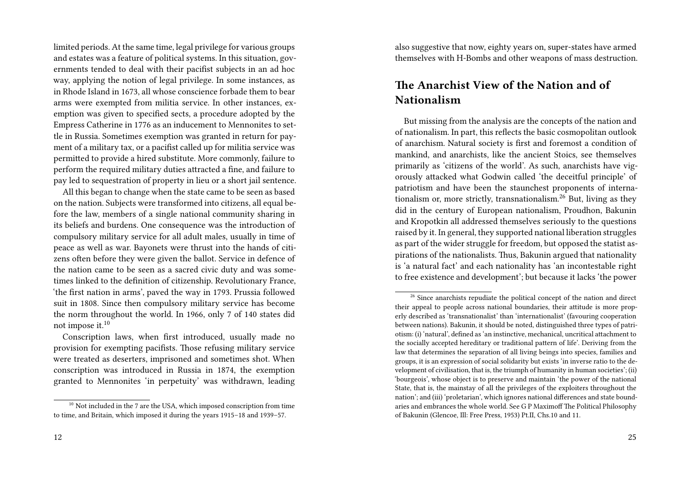limited periods. At the same time, legal privilege for various groups and estates was a feature of political systems. In this situation, governments tended to deal with their pacifist subjects in an ad hoc way, applying the notion of legal privilege. In some instances, as in Rhode Island in 1673, all whose conscience forbade them to bear arms were exempted from militia service. In other instances, exemption was given to specified sects, a procedure adopted by the Empress Catherine in 1776 as an inducement to Mennonites to settle in Russia. Sometimes exemption was granted in return for payment of a military tax, or a pacifist called up for militia service was permitted to provide a hired substitute. More commonly, failure to perform the required military duties attracted a fine, and failure to pay led to sequestration of property in lieu or a short jail sentence.

All this began to change when the state came to be seen as based on the nation. Subjects were transformed into citizens, all equal before the law, members of a single national community sharing in its beliefs and burdens. One consequence was the introduction of compulsory military service for all adult males, usually in time of peace as well as war. Bayonets were thrust into the hands of citizens often before they were given the ballot. Service in defence of the nation came to be seen as a sacred civic duty and was sometimes linked to the definition of citizenship. Revolutionary France, 'the first nation in arms', paved the way in 1793. Prussia followed suit in 1808. Since then compulsory military service has become the norm throughout the world. In 1966, only 7 of 140 states did not impose it.<sup>10</sup>

Conscription laws, when first introduced, usually made no provision for exempting pacifists. Those refusing military service were treated as deserters, imprisoned and sometimes shot. When conscription was introduced in Russia in 1874, the exemption granted to Mennonites 'in perpetuity' was withdrawn, leading also suggestive that now, eighty years on, super-states have armed themselves with H-Bombs and other weapons of mass destruction.

## **The Anarchist View of the Nation and of Nationalism**

But missing from the analysis are the concepts of the nation and of nationalism. In part, this reflects the basic cosmopolitan outlook of anarchism. Natural society is first and foremost a condition of mankind, and anarchists, like the ancient Stoics, see themselves primarily as 'citizens of the world'. As such, anarchists have vigorously attacked what Godwin called 'the deceitful principle' of patriotism and have been the staunchest proponents of internationalism or, more strictly, transnationalism. $^{26}$  But, living as they did in the century of European nationalism, Proudhon, Bakunin and Kropotkin all addressed themselves seriously to the questions raised by it. In general, they supported national liberation struggles as part of the wider struggle for freedom, but opposed the statist aspirations of the nationalists. Thus, Bakunin argued that nationality is 'a natural fact' and each nationality has 'an incontestable right to free existence and development'; but because it lacks 'the power

 $^{10}$  Not included in the 7 are the USA, which imposed conscription from time to time, and Britain, which imposed it during the years 1915–18 and 1939–57.

<sup>&</sup>lt;sup>26</sup> Since anarchists repudiate the political concept of the nation and direct their appeal to people across national boundaries, their attitude is more properly described as 'transnationalist' than 'internationalist' (favouring cooperation between nations). Bakunin, it should be noted, distinguished three types of patriotism: (i) 'natural', defined as 'an instinctive, mechanical, uncritical attachment to the socially accepted hereditary or traditional pattern of life'. Deriving from the law that determines the separation of all living beings into species, families and groups, it is an expression of social solidarity but exists 'in inverse ratio to the development of civilisation, that is, the triumph of humanity in human societies'; (ii) 'bourgeois', whose object is to preserve and maintain 'the power of the national State, that is, the mainstay of all the privileges of the exploiters throughout the nation'; and (iii) 'proletarian', which ignores national differences and state boundaries and embrances the whole world. See G P Maximoff The Political Philosophy of Bakunin (Glencoe, Ill: Free Press, 1953) Pt.II, Chs.10 and 11.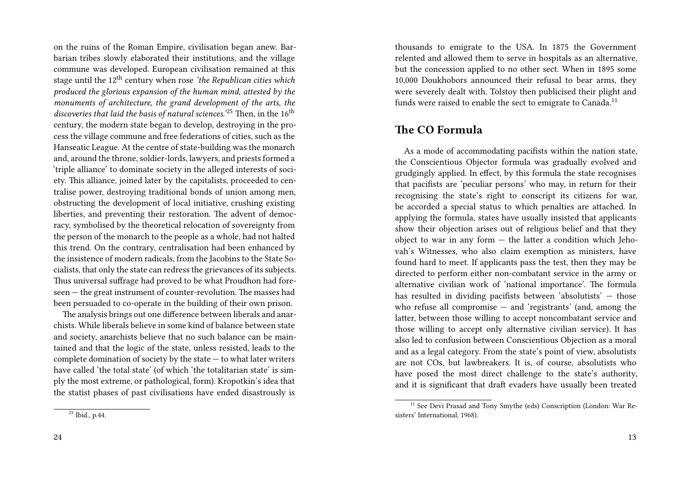on the ruins of the Roman Empire, civilisation began anew. Barbarian tribes slowly elaborated their institutions, and the village commune was developed. European civilisation remained at this stage until the 12th century when rose *'the Republican cities which produced the glorious expansion of the human mind, attested by the monuments of architecture, the grand development of the arts, the* discoveries that laid the basis of natural sciences.<sup>'25</sup> Then, in the 16<sup>th</sup> century, the modern state began to develop, destroying in the process the village commune and free federations of cities, such as the Hanseatic League. At the centre of state-building was the monarch and, around the throne, soldier-lords, lawyers, and priests formed a 'triple alliance' to dominate society in the alleged interests of society. This alliance, joined later by the capitalists, proceeded to centralise power, destroying traditional bonds of union among men, obstructing the development of local initiative, crushing existing liberties, and preventing their restoration. The advent of democracy, symbolised by the theoretical relocation of sovereignty from the person of the monarch to the people as a whole, had not halted this trend. On the contrary, centralisation had been enhanced by the insistence of modern radicals, from the Jacobins to the State Socialists, that only the state can redress the grievances of its subjects. Thus universal suffrage had proved to be what Proudhon had foreseen — the great instrument of counter-revolution. The masses had been persuaded to co-operate in the building of their own prison.

The analysis brings out one difference between liberals and anarchists. While liberals believe in some kind of balance between state and society, anarchists believe that no such balance can be maintained and that the logic of the state, unless resisted, leads to the complete domination of society by the state — to what later writers have called 'the total state' (of which 'the totalitarian state' is simply the most extreme, or pathological, form). Kropotkin's idea that the statist phases of past civilisations have ended disastrously is

<sup>25</sup> Ibid., p.44.

thousands to emigrate to the USA. In 1875 the Government relented and allowed them to serve in hospitals as an alternative, but the concession applied to no other sect. When in 1895 some 10,000 Doukhobors announced their refusal to bear arms, they were severely dealt with. Tolstoy then publicised their plight and funds were raised to enable the sect to emigrate to Canada.<sup>11</sup>

#### **The CO Formula**

As a mode of accommodating pacifists within the nation state, the Conscientious Objector formula was gradually evolved and grudgingly applied. In effect, by this formula the state recognises that pacifists are 'peculiar persons' who may, in return for their recognising the state's right to conscript its citizens for war, be accorded a special status to which penalties are attached. In applying the formula, states have usually insisted that applicants show their objection arises out of religious belief and that they object to war in any form  $-$  the latter a condition which Jehovah's Witnesses, who also claim exemption as ministers, have found hard to meet. If applicants pass the test, then they may be directed to perform either non-combatant service in the army or alternative civilian work of 'national importance'. The formula has resulted in dividing pacifists between 'absolutists' — those who refuse all compromise — and 'registrants' (and, among the latter, between those willing to accept noncombatant service and those willing to accept only alternative civilian service). It has also led to confusion between Conscientious Objection as a moral and as a legal category. From the state's point of view, absolutists are not COs, but lawbreakers. It is, of course, absolutists who have posed the most direct challenge to the state's authority, and it is significant that draft evaders have usually been treated

<sup>&</sup>lt;sup>11</sup> See Devi Prasad and Tony Smythe (eds) Conscription (London: War Resisters' International, 1968).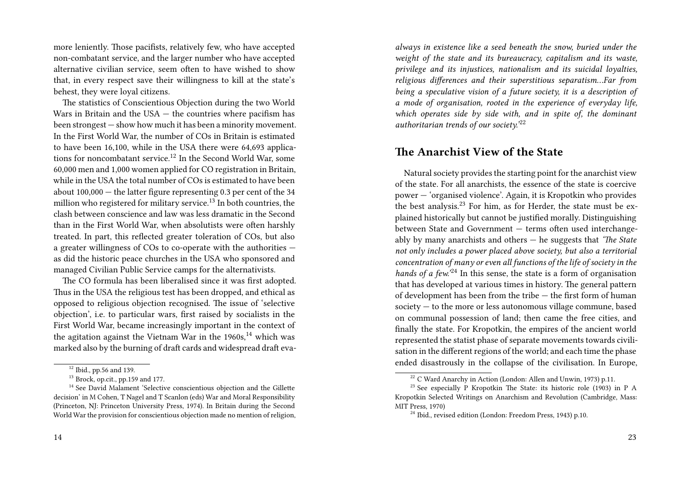more leniently. Those pacifists, relatively few, who have accepted non-combatant service, and the larger number who have accepted alternative civilian service, seem often to have wished to show that, in every respect save their willingness to kill at the state's behest, they were loyal citizens.

The statistics of Conscientious Objection during the two World Wars in Britain and the USA — the countries where pacifism has been strongest — show how much it has been a minority movement. In the First World War, the number of COs in Britain is estimated to have been 16,100, while in the USA there were 64,693 applications for noncombatant service.<sup>12</sup> In the Second World War, some 60,000 men and 1,000 women applied for CO registration in Britain, while in the USA the total number of COs is estimated to have been about 100,000 — the latter figure representing 0.3 per cent of the 34 million who registered for military service.<sup>13</sup> In both countries, the clash between conscience and law was less dramatic in the Second than in the First World War, when absolutists were often harshly treated. In part, this reflected greater toleration of COs, but also a greater willingness of COs to co-operate with the authorities as did the historic peace churches in the USA who sponsored and managed Civilian Public Service camps for the alternativists.

The CO formula has been liberalised since it was first adopted. Thus in the USA the religious test has been dropped, and ethical as opposed to religious objection recognised. The issue of 'selective objection', i.e. to particular wars, first raised by socialists in the First World War, became increasingly important in the context of the agitation against the Vietnam War in the  $1960s$ ,<sup>14</sup> which was marked also by the burning of draft cards and widespread draft eva-

*always in existence like a seed beneath the snow, buried under the weight of the state and its bureaucracy, capitalism and its waste, privilege and its injustices, nationalism and its suicidal loyalties, religious differences and their superstitious separatism…Far from being a speculative vision of a future society, it is a description of a mode of organisation, rooted in the experience of everyday life, which operates side by side with, and in spite of, the dominant authoritarian trends of our society.'*<sup>22</sup>

#### **The Anarchist View of the State**

Natural society provides the starting point for the anarchist view of the state. For all anarchists, the essence of the state is coercive power — 'organised violence'. Again, it is Kropotkin who provides the best analysis.<sup>23</sup> For him, as for Herder, the state must be explained historically but cannot be justified morally. Distinguishing between State and Government — terms often used interchangeably by many anarchists and others — he suggests that *'The State not only includes a power placed above society, but also a territorial concentration of many or even all functions of the life of society in the hands of a few.'*<sup>24</sup> In this sense, the state is a form of organisation that has developed at various times in history. The general pattern of development has been from the tribe — the first form of human society — to the more or less autonomous village commune, based on communal possession of land; then came the free cities, and finally the state. For Kropotkin, the empires of the ancient world represented the statist phase of separate movements towards civilisation in the different regions of the world; and each time the phase ended disastrously in the collapse of the civilisation. In Europe,

<sup>&</sup>lt;sup>12</sup> Ibid., pp.56 and 139.

 $13$  Brock, op.cit., pp.159 and 177.

<sup>&</sup>lt;sup>14</sup> See David Malament 'Selective conscientious objection and the Gillette decision' in M Cohen, T Nagel and T Scanlon (eds) War and Moral Responsibility (Princeton, NJ: Princeton University Press, 1974). In Britain during the Second World War the provision for conscientious objection made no mention of religion,

<sup>&</sup>lt;sup>22</sup> C Ward Anarchy in Action (London: Allen and Unwin, 1973) p.11.

 $^{23}$  See especially P Kropotkin The State: its historic role (1903) in P A Kropotkin Selected Writings on Anarchism and Revolution (Cambridge, Mass: MIT Press, 1970)

<sup>&</sup>lt;sup>24</sup> Ibid., revised edition (London: Freedom Press, 1943) p.10.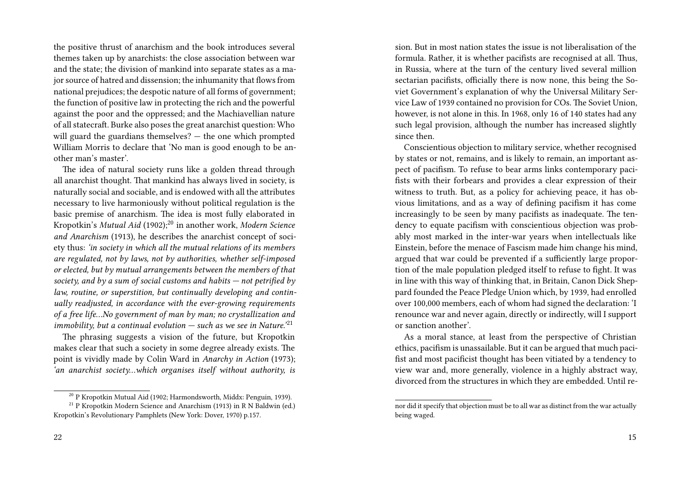the positive thrust of anarchism and the book introduces several themes taken up by anarchists: the close association between war and the state; the division of mankind into separate states as a major source of hatred and dissension; the inhumanity that flows from national prejudices; the despotic nature of all forms of government; the function of positive law in protecting the rich and the powerful against the poor and the oppressed; and the Machiavellian nature of all statecraft. Burke also poses the great anarchist question: Who will guard the guardians themselves? — the one which prompted William Morris to declare that 'No man is good enough to be another man's master'.

The idea of natural society runs like a golden thread through all anarchist thought. That mankind has always lived in society, is naturally social and sociable, and is endowed with all the attributes necessary to live harmoniously without political regulation is the basic premise of anarchism. The idea is most fully elaborated in Kropotkin's *Mutual Aid* (1902);<sup>20</sup> in another work, *Modern Science and Anarchism* (1913), he describes the anarchist concept of society thus: *'in society in which all the mutual relations of its members are regulated, not by laws, not by authorities, whether self-imposed or elected, but by mutual arrangements between the members of that society, and by a sum of social customs and habits — not petrified by law, routine, or superstition, but continually developing and continually readjusted, in accordance with the ever-growing requirements of a free life…No government of man by man; no crystallization and immobility, but a continual evolution — such as we see in Nature.'*<sup>21</sup>

The phrasing suggests a vision of the future, but Kropotkin makes clear that such a society in some degree already exists. The point is vividly made by Colin Ward in *Anarchy in Action* (1973); *'an anarchist society…which organises itself without authority, is*

sion. But in most nation states the issue is not liberalisation of the formula. Rather, it is whether pacifists are recognised at all. Thus, in Russia, where at the turn of the century lived several million sectarian pacifists, officially there is now none, this being the Soviet Government's explanation of why the Universal Military Service Law of 1939 contained no provision for COs. The Soviet Union, however, is not alone in this. In 1968, only 16 of 140 states had any such legal provision, although the number has increased slightly since then.

Conscientious objection to military service, whether recognised by states or not, remains, and is likely to remain, an important aspect of pacifism. To refuse to bear arms links contemporary pacifists with their forbears and provides a clear expression of their witness to truth. But, as a policy for achieving peace, it has obvious limitations, and as a way of defining pacifism it has come increasingly to be seen by many pacifists as inadequate. The tendency to equate pacifism with conscientious objection was probably most marked in the inter-war years when intellectuals like Einstein, before the menace of Fascism made him change his mind, argued that war could be prevented if a sufficiently large proportion of the male population pledged itself to refuse to fight. It was in line with this way of thinking that, in Britain, Canon Dick Sheppard founded the Peace Pledge Union which, by 1939, had enrolled over 100,000 members, each of whom had signed the declaration: 'I renounce war and never again, directly or indirectly, will I support or sanction another'.

As a moral stance, at least from the perspective of Christian ethics, pacifism is unassailable. But it can be argued that much pacifist and most pacificist thought has been vitiated by a tendency to view war and, more generally, violence in a highly abstract way, divorced from the structures in which they are embedded. Until re-

<sup>20</sup> P Kropotkin Mutual Aid (1902; Harmondsworth, Middx: Penguin, 1939).

<sup>&</sup>lt;sup>21</sup> P Kropotkin Modern Science and Anarchism (1913) in R N Baldwin (ed.) Kropotkin's Revolutionary Pamphlets (New York: Dover, 1970) p.157.

nor did it specify that objection must be to all war as distinct from the war actually being waged.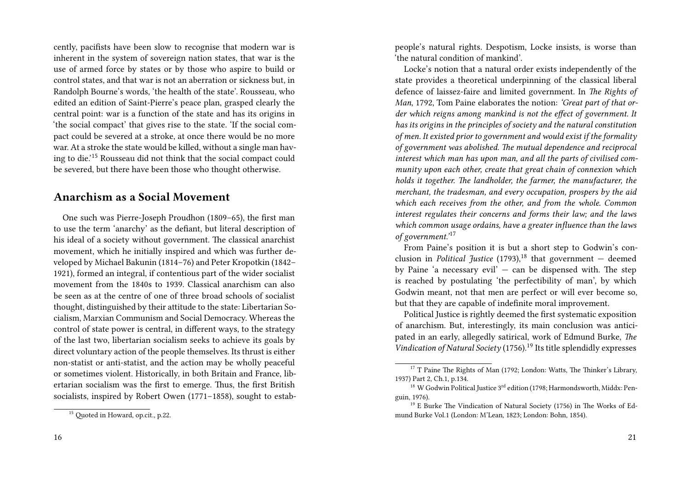cently, pacifists have been slow to recognise that modern war is inherent in the system of sovereign nation states, that war is the use of armed force by states or by those who aspire to build or control states, and that war is not an aberration or sickness but, in Randolph Bourne's words, 'the health of the state'. Rousseau, who edited an edition of Saint-Pierre's peace plan, grasped clearly the central point: war is a function of the state and has its origins in 'the social compact' that gives rise to the state. 'If the social compact could be severed at a stroke, at once there would be no more war. At a stroke the state would be killed, without a single man having to die.'<sup>15</sup> Rousseau did not think that the social compact could be severed, but there have been those who thought otherwise.

### **Anarchism as a Social Movement**

One such was Pierre-Joseph Proudhon (1809–65), the first man to use the term 'anarchy' as the defiant, but literal description of his ideal of a society without government. The classical anarchist movement, which he initially inspired and which was further developed by Michael Bakunin (1814–76) and Peter Kropotkin (1842– 1921), formed an integral, if contentious part of the wider socialist movement from the 1840s to 1939. Classical anarchism can also be seen as at the centre of one of three broad schools of socialist thought, distinguished by their attitude to the state: Libertarian Socialism, Marxian Communism and Social Democracy. Whereas the control of state power is central, in different ways, to the strategy of the last two, libertarian socialism seeks to achieve its goals by direct voluntary action of the people themselves. Its thrust is either non-statist or anti-statist, and the action may be wholly peaceful or sometimes violent. Historically, in both Britain and France, libertarian socialism was the first to emerge. Thus, the first British socialists, inspired by Robert Owen (1771–1858), sought to estabpeople's natural rights. Despotism, Locke insists, is worse than 'the natural condition of mankind'.

Locke's notion that a natural order exists independently of the state provides a theoretical underpinning of the classical liberal defence of laissez-faire and limited government. In *The Rights of Man*, 1792, Tom Paine elaborates the notion: *'Great part of that order which reigns among mankind is not the effect of government. It has its origins in the principles of society and the natural constitution of men. It existed prior to government and would exist if the formality of government was abolished. The mutual dependence and reciprocal interest which man has upon man, and all the parts of civilised community upon each other, create that great chain of connexion which holds it together. The landholder, the farmer, the manufacturer, the merchant, the tradesman, and every occupation, prospers by the aid which each receives from the other, and from the whole. Common interest regulates their concerns and forms their law; and the laws which common usage ordains, have a greater influence than the laws of government.'*<sup>17</sup>

From Paine's position it is but a short step to Godwin's conclusion in *Political Justice* (1793),<sup>18</sup> that government  $-$  deemed by Paine 'a necessary evil'  $-$  can be dispensed with. The step is reached by postulating 'the perfectibility of man', by which Godwin meant, not that men are perfect or will ever become so, but that they are capable of indefinite moral improvement.

Political Justice is rightly deemed the first systematic exposition of anarchism. But, interestingly, its main conclusion was anticipated in an early, allegedly satirical, work of Edmund Burke, *The Vindication of Natural Society* (1756).<sup>19</sup> Its title splendidly expresses

<sup>&</sup>lt;sup>15</sup> Quoted in Howard, op.cit., p.22.

<sup>&</sup>lt;sup>17</sup> T Paine The Rights of Man (1792; London: Watts, The Thinker's Library, 1937) Part 2, Ch.1, p.134.

<sup>&</sup>lt;sup>18</sup> W Godwin Political Justice  $3^{rd}$  edition (1798: Harmondsworth, Middx: Penguin, 1976).

<sup>&</sup>lt;sup>19</sup> E Burke The Vindication of Natural Society (1756) in The Works of Edmund Burke Vol.1 (London: M'Lean, 1823; London: Bohn, 1854).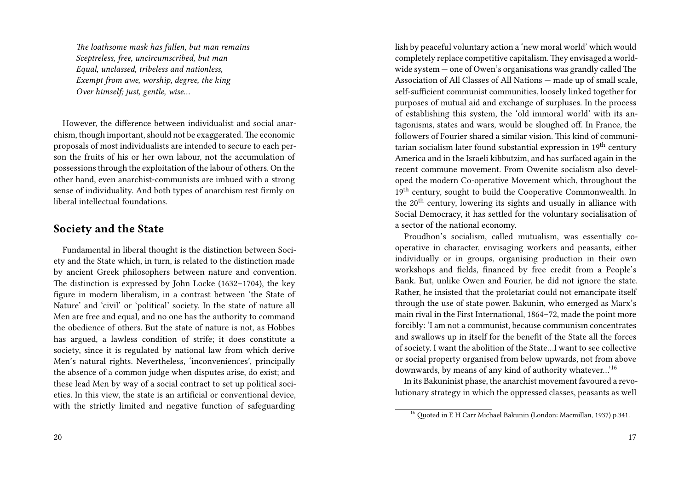*The loathsome mask has fallen, but man remains Sceptreless, free, uncircumscribed, but man Equal, unclassed, tribeless and nationless, Exempt from awe, worship, degree, the king Over himself; just, gentle, wise…*

However, the difference between individualist and social anarchism, though important, should not be exaggerated. The economic proposals of most individualists are intended to secure to each person the fruits of his or her own labour, not the accumulation of possessions through the exploitation of the labour of others. On the other hand, even anarchist-communists are imbued with a strong sense of individuality. And both types of anarchism rest firmly on liberal intellectual foundations.

#### **Society and the State**

Fundamental in liberal thought is the distinction between Society and the State which, in turn, is related to the distinction made by ancient Greek philosophers between nature and convention. The distinction is expressed by John Locke (1632–1704), the key figure in modern liberalism, in a contrast between 'the State of Nature' and 'civil' or 'political' society. In the state of nature all Men are free and equal, and no one has the authority to command the obedience of others. But the state of nature is not, as Hobbes has argued, a lawless condition of strife; it does constitute a society, since it is regulated by national law from which derive Men's natural rights. Nevertheless, 'inconveniences', principally the absence of a common judge when disputes arise, do exist; and these lead Men by way of a social contract to set up political societies. In this view, the state is an artificial or conventional device, with the strictly limited and negative function of safeguarding lish by peaceful voluntary action a 'new moral world' which would completely replace competitive capitalism.They envisaged a worldwide system — one of Owen's organisations was grandly called The Association of All Classes of All Nations — made up of small scale, self-sufficient communist communities, loosely linked together for purposes of mutual aid and exchange of surpluses. In the process of establishing this system, the 'old immoral world' with its antagonisms, states and wars, would be sloughed off. In France, the followers of Fourier shared a similar vision. This kind of communitarian socialism later found substantial expression in  $19<sup>th</sup>$  century America and in the Israeli kibbutzim, and has surfaced again in the recent commune movement. From Owenite socialism also developed the modern Co-operative Movement which, throughout the 19<sup>th</sup> century, sought to build the Cooperative Commonwealth. In the 20<sup>th</sup> century, lowering its sights and usually in alliance with Social Democracy, it has settled for the voluntary socialisation of a sector of the national economy.

Proudhon's socialism, called mutualism, was essentially cooperative in character, envisaging workers and peasants, either individually or in groups, organising production in their own workshops and fields, financed by free credit from a People's Bank. But, unlike Owen and Fourier, he did not ignore the state. Rather, he insisted that the proletariat could not emancipate itself through the use of state power. Bakunin, who emerged as Marx's main rival in the First International, 1864–72, made the point more forcibly: 'I am not a communist, because communism concentrates and swallows up in itself for the benefit of the State all the forces of society. I want the abolition of the State…I want to see collective or social property organised from below upwards, not from above downwards, by means of any kind of authority whatever…'<sup>16</sup>

In its Bakuninist phase, the anarchist movement favoured a revolutionary strategy in which the oppressed classes, peasants as well

<sup>16</sup> Quoted in E H Carr Michael Bakunin (London: Macmillan, 1937) p.341.